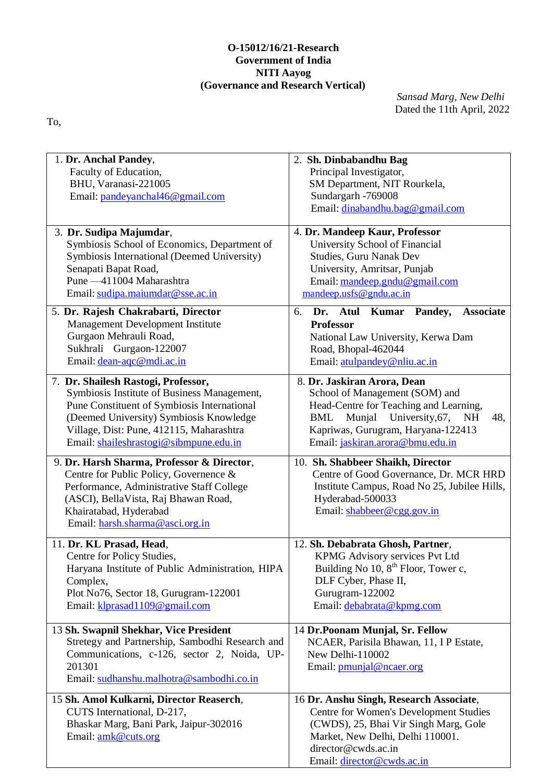# **O-15012/16/21-Research Government of India NITI Aayog (Governance and Research Vertical)**

*Sansad Marg, New Delhi* Dated the 11th April, 2022

To,

| 1. Dr. Anchal Pandey,<br>Faculty of Education,                      | 2. Sh. Dinbabandhu Bag<br>Principal Investigator,             |  |  |
|---------------------------------------------------------------------|---------------------------------------------------------------|--|--|
| BHU, Varanasi-221005                                                | SM Department, NIT Rourkela,                                  |  |  |
| Email: pandeyanchal46@gmail.com                                     | Sundargarh -769008                                            |  |  |
|                                                                     | Email: dinabandhu.bag@gmail.com                               |  |  |
|                                                                     |                                                               |  |  |
| 3. Dr. Sudipa Majumdar,                                             | 4. Dr. Mandeep Kaur, Professor                                |  |  |
| Symbiosis School of Economics, Department of                        | University School of Financial                                |  |  |
| Symbiosis International (Deemed University)<br>Senapati Bapat Road, | <b>Studies, Guru Nanak Dev</b>                                |  |  |
| Pune -411004 Maharashtra                                            | University, Amritsar, Punjab<br>Email: mandeep.gndu@gmail.com |  |  |
| Email: sudipa.maiumdar@sse.ac.in                                    | mandeep.usfs@gndu.ac.in                                       |  |  |
|                                                                     |                                                               |  |  |
| 5. Dr. Rajesh Chakrabarti, Director                                 | <b>Associate</b><br>Dr. Atul<br>Kumar Pandey,<br>6.           |  |  |
| Management Development Institute                                    | Professor                                                     |  |  |
| Gurgaon Mehrauli Road,<br>Sukhrali Gurgaon-122007                   | National Law University, Kerwa Dam<br>Road, Bhopal-462044     |  |  |
| Email: dean-aqc@mdi.ac.in                                           | Email: atulpandey@nliu.ac.in                                  |  |  |
|                                                                     |                                                               |  |  |
| 7. Dr. Shailesh Rastogi, Professor,                                 | 8. Dr. Jaskiran Arora, Dean                                   |  |  |
| Symbiosis Institute of Business Management,                         | School of Management (SOM) and                                |  |  |
| Pune Constituent of Symbiosis International                         | Head-Centre for Teaching and Learning,                        |  |  |
| (Deemed University) Symbiosis Knowledge                             | Munjal University, 67,<br>BML<br>48,<br><b>NH</b>             |  |  |
| Village, Dist: Pune, 412115, Maharashtra                            | Kapriwas, Gurugram, Haryana-122413                            |  |  |
| Email: shaileshrastogi@sibmpune.edu.in                              | Email: jaskiran.arora@bmu.edu.in                              |  |  |
| 9. Dr. Harsh Sharma, Professor & Director,                          | 10. Sh. Shabbeer Shaikh, Director                             |  |  |
| Centre for Public Policy, Governence &                              | Centre of Good Governance, Dr. MCR HRD                        |  |  |
| Performance, Administrative Staff College                           | Institute Campus, Road No 25, Jubilee Hills,                  |  |  |
| (ASCI), BellaVista, Raj Bhawan Road,                                | Hyderabad-500033                                              |  |  |
| Khairatabad, Hyderabad                                              | Email: shabbeer@cgg.gov.in                                    |  |  |
| Email: harsh.sharma@asci.org.in                                     |                                                               |  |  |
| 11. Dr. KL Prasad, Head,                                            | 12. Sh. Debabrata Ghosh, Partner,                             |  |  |
| Centre for Policy Studies,                                          | KPMG Advisory services Pvt Ltd                                |  |  |
| Haryana Institute of Public Administration, HIPA                    | Building No 10, 8 <sup>th</sup> Floor, Tower c,               |  |  |
| Complex,                                                            | DLF Cyber, Phase II,                                          |  |  |
| Plot No76, Sector 18, Gurugram-122001                               | Gurugram-122002                                               |  |  |
| Email: klprasad1109@gmail.com                                       | Email: debabrata@kpmg.com                                     |  |  |
| 13 Sh. Swapnil Shekhar, Vice President                              | 14 Dr.Poonam Munjal, Sr. Fellow                               |  |  |
| Stretegy and Partnership, Sambodhi Research and                     | NCAER, Parisila Bhawan, 11, IP Estate,                        |  |  |
| Communications, c-126, sector 2, Noida, UP-                         | New Delhi-110002                                              |  |  |
| 201301                                                              | Email: pmunjal@ncaer.org                                      |  |  |
| Email: sudhanshu.malhotra@sambodhi.co.in                            |                                                               |  |  |
| 15 Sh. Amol Kulkarni, Director Reaserch,                            | 16 Dr. Anshu Singh, Research Associate,                       |  |  |
| CUTS International, D-217,                                          | Centre for Women's Development Studies                        |  |  |
| Bhaskar Marg, Bani Park, Jaipur-302016                              | (CWDS), 25, Bhai Vir Singh Marg, Gole                         |  |  |
| Email: amk@cuts.org                                                 | Market, New Delhi, Delhi 110001.                              |  |  |
|                                                                     | director@cwds.ac.in                                           |  |  |
|                                                                     | Email: director@cwds.ac.in                                    |  |  |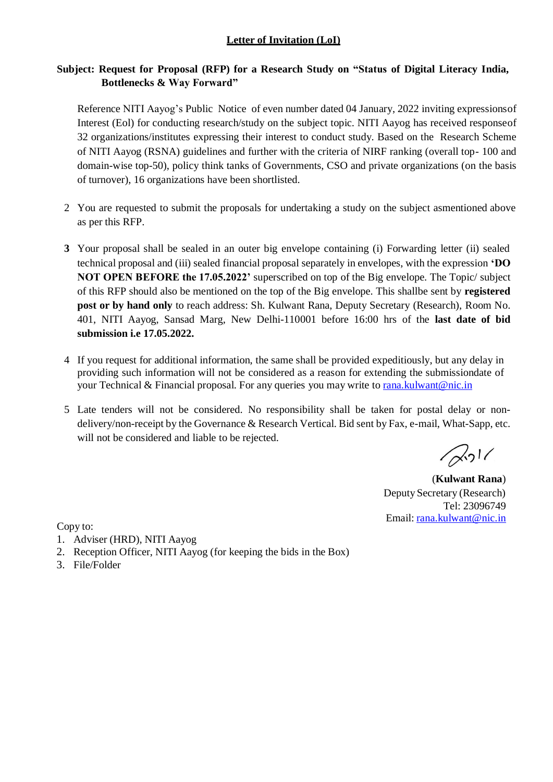# **Letter of Invitation (LoI)**

# **Subject: Request for Proposal (RFP) for a Research Study on "Status of Digital Literacy India, Bottlenecks & Way Forward"**

Reference NITI Aayog's Public Notice of even number dated 04 January, 2022 inviting expressionsof Interest (Eol) for conducting research/study on the subject topic. NITI Aayog has received responseof 32 organizations/institutes expressing their interest to conduct study. Based on the Research Scheme of NITI Aayog (RSNA) guidelines and further with the criteria of NIRF ranking (overall top- 100 and domain-wise top-50), policy think tanks of Governments, CSO and private organizations (on the basis of turnover), 16 organizations have been shortlisted.

- 2 You are requested to submit the proposals for undertaking a study on the subject asmentioned above as per this RFP.
- **3** Your proposal shall be sealed in an outer big envelope containing (i) Forwarding letter (ii) sealed technical proposal and (iii) sealed financial proposal separately in envelopes, with the expression **'DO NOT OPEN BEFORE the 17.05.2022'** superscribed on top of the Big envelope. The Topic/ subject of this RFP should also be mentioned on the top of the Big envelope. This shallbe sent by **registered post or by hand only** to reach address: Sh. Kulwant Rana, Deputy Secretary (Research), Room No. 401, NITI Aayog, Sansad Marg, New Delhi-110001 before 16:00 hrs of the **last date of bid submission i.e 17.05.2022.**
- 4 If you request for additional information, the same shall be provided expeditiously, but any delay in providing such information will not be considered as a reason for extending the submissiondate of your Technical & Financial proposal. For any queries you may write to  $\frac{r}{\text{tana}.k$  kulwant @nic.in
- 5 Late tenders will not be considered. No responsibility shall be taken for postal delay or nondelivery/non-receipt by the Governance & Research Vertical. Bid sent by Fax, e-mail, What-Sapp, etc. will not be considered and liable to be rejected.

 $\sqrt{2}$ <sup>1</sup>

(**Kulwant Rana**) Deputy Secretary (Research) Tel: 23096749 Email: [rana.kulwant@nic.in](mailto:rana.kulwant@nic.in)

Copy to:

- 1. Adviser (HRD), NITI Aayog
- 2. Reception Officer, NITI Aayog (for keeping the bids in the Box)
- 3. File/Folder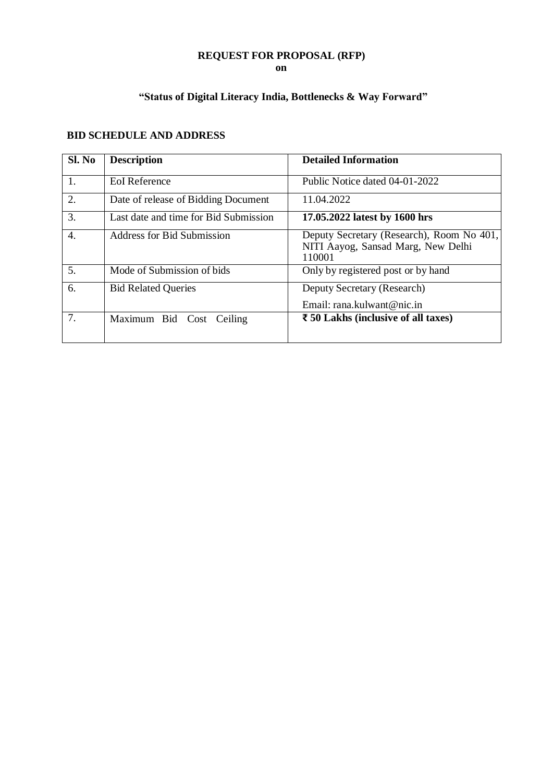# **REQUEST FOR PROPOSAL (RFP)**

**on**

# **"Status of Digital Literacy India, Bottlenecks & Way Forward"**

| Sl. No | <b>Description</b>                    | <b>Detailed Information</b>                                                               |
|--------|---------------------------------------|-------------------------------------------------------------------------------------------|
| 1.     | <b>EoI</b> Reference                  | Public Notice dated 04-01-2022                                                            |
| 2.     | Date of release of Bidding Document   | 11.04.2022                                                                                |
| 3.     | Last date and time for Bid Submission | 17.05.2022 latest by 1600 hrs                                                             |
| 4.     | <b>Address for Bid Submission</b>     | Deputy Secretary (Research), Room No 401,<br>NITI Aayog, Sansad Marg, New Delhi<br>110001 |
| 5.     | Mode of Submission of bids            | Only by registered post or by hand                                                        |
| 6.     | <b>Bid Related Queries</b>            | Deputy Secretary (Research)                                                               |
|        |                                       | Email: rana kulwant@nic.in                                                                |
| 7.     | Maximum Bid Cost Ceiling              | $\bar{z}$ 50 Lakhs (inclusive of all taxes)                                               |

# **BID SCHEDULE AND ADDRESS**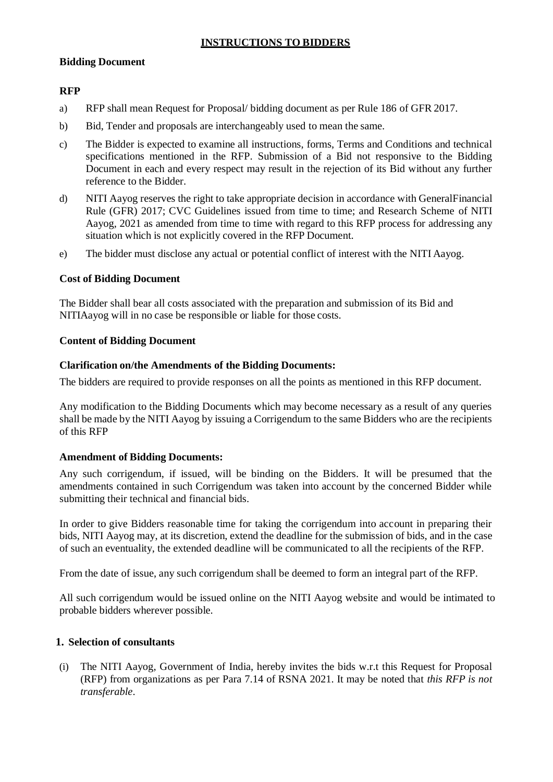## **INSTRUCTIONS TO BIDDERS**

#### **Bidding Document**

## **RFP**

- a) RFP shall mean Request for Proposal/ bidding document as per Rule 186 of GFR 2017.
- b) Bid, Tender and proposals are interchangeably used to mean the same.
- c) The Bidder is expected to examine all instructions, forms, Terms and Conditions and technical specifications mentioned in the RFP. Submission of a Bid not responsive to the Bidding Document in each and every respect may result in the rejection of its Bid without any further reference to the Bidder.
- d) NITI Aayog reserves the right to take appropriate decision in accordance with GeneralFinancial Rule (GFR) 2017; CVC Guidelines issued from time to time; and Research Scheme of NITI Aayog, 2021 as amended from time to time with regard to this RFP process for addressing any situation which is not explicitly covered in the RFP Document.
- e) The bidder must disclose any actual or potential conflict of interest with the NITI Aayog.

#### **Cost of Bidding Document**

The Bidder shall bear all costs associated with the preparation and submission of its Bid and NITIAayog will in no case be responsible or liable for those costs.

#### **Content of Bidding Document**

#### **Clarification on/the Amendments of the Bidding Documents:**

The bidders are required to provide responses on all the points as mentioned in this RFP document.

Any modification to the Bidding Documents which may become necessary as a result of any queries shall be made by the NITI Aayog by issuing a Corrigendum to the same Bidders who are the recipients of this RFP

#### **Amendment of Bidding Documents:**

Any such corrigendum, if issued, will be binding on the Bidders. It will be presumed that the amendments contained in such Corrigendum was taken into account by the concerned Bidder while submitting their technical and financial bids.

In order to give Bidders reasonable time for taking the corrigendum into account in preparing their bids, NITI Aayog may, at its discretion, extend the deadline for the submission of bids, and in the case of such an eventuality, the extended deadline will be communicated to all the recipients of the RFP.

From the date of issue, any such corrigendum shall be deemed to form an integral part of the RFP.

All such corrigendum would be issued online on the NITI Aayog website and would be intimated to probable bidders wherever possible.

#### **1. Selection of consultants**

(i) The NITI Aayog, Government of India, hereby invites the bids w.r.t this Request for Proposal (RFP) from organizations as per Para 7.14 of RSNA 2021. It may be noted that *this RFP is not transferable*.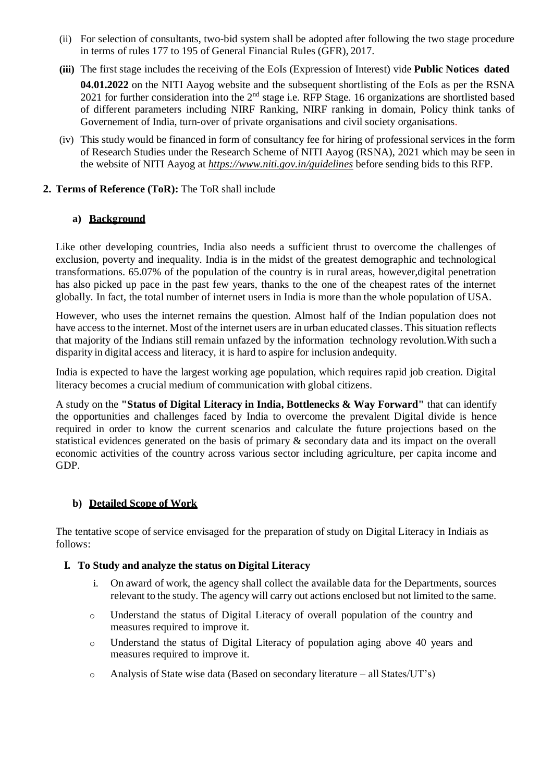- (ii) For selection of consultants, two-bid system shall be adopted after following the two stage procedure in terms of rules 177 to 195 of General Financial Rules (GFR), 2017.
- **(iii)** The first stage includes the receiving of the EoIs (Expression of Interest) vide **Public Notices dated**

04.01.2022 on the NITI Aayog website and the subsequent shortlisting of the EoIs as per the RSNA 2021 for further consideration into the  $2<sup>nd</sup>$  stage i.e. RFP Stage. 16 organizations are shortlisted based of different parameters including NIRF Ranking, NIRF ranking in domain, Policy think tanks of Governement of India, turn-over of private organisations and civil society organisations.

(iv) This study would be financed in form of consultancy fee for hiring of professional services in the form of Research Studies under the Research Scheme of NITI Aayog (RSNA), 2021 which may be seen in the website of NITI Aayog at *https:/[/www.niti.gov.in/guidelines](http://www.niti.gov.in/guidelines)* before sending bids to this RFP.

## **2. Terms of Reference (ToR):** The ToR shall include

## **a) Background**

Like other developing countries, India also needs a sufficient thrust to overcome the challenges of exclusion, poverty and inequality. India is in the midst of the greatest demographic and technological transformations. 65.07% of the population of the country is in rural areas, however,digital penetration has also picked up pace in the past few years, thanks to the one of the cheapest rates of the internet globally. In fact, the total number of internet users in India is more than the whole population of USA.

However, who uses the internet remains the question. Almost half of the Indian population does not have access to the internet. Most of the internet users are in urban educated classes. This situation reflects that majority of the Indians still remain unfazed by the information technology revolution.With such a disparity in digital access and literacy, it is hard to aspire for inclusion andequity.

India is expected to have the largest working age population, which requires rapid job creation. Digital literacy becomes a crucial medium of communication with global citizens.

A study on the **"Status of Digital Literacy in India, Bottlenecks & Way Forward"** that can identify the opportunities and challenges faced by India to overcome the prevalent Digital divide is hence required in order to know the current scenarios and calculate the future projections based on the statistical evidences generated on the basis of primary & secondary data and its impact on the overall economic activities of the country across various sector including agriculture, per capita income and GDP.

# **b) Detailed Scope of Work**

The tentative scope of service envisaged for the preparation of study on Digital Literacy in Indiais as follows:

## **I. To Study and analyze the status on Digital Literacy**

- i. On award of work, the agency shall collect the available data for the Departments, sources relevant to the study. The agency will carry out actions enclosed but not limited to the same.
- o Understand the status of Digital Literacy of overall population of the country and measures required to improve it.
- o Understand the status of Digital Literacy of population aging above 40 years and measures required to improve it.
- o Analysis of State wise data (Based on secondary literature all States/UT's)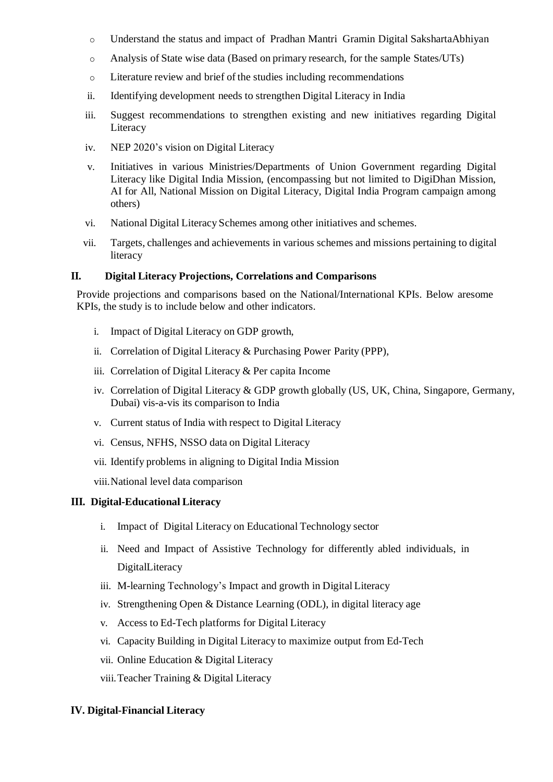- o Understand the status and impact of Pradhan Mantri Gramin Digital SakshartaAbhiyan
- o Analysis of State wise data (Based on primary research, for the sample States/UTs)
- o Literature review and brief of the studies including recommendations
- ii. Identifying development needs to strengthen Digital Literacy in India
- iii. Suggest recommendations to strengthen existing and new initiatives regarding Digital **Literacy**
- iv. NEP 2020's vision on Digital Literacy
- v. Initiatives in various Ministries/Departments of Union Government regarding Digital Literacy like Digital India Mission, (encompassing but not limited to DigiDhan Mission, AI for All, National Mission on Digital Literacy, Digital India Program campaign among others)
- vi. National Digital Literacy Schemes among other initiatives and schemes.
- vii. Targets, challenges and achievements in various schemes and missions pertaining to digital literacy

#### **II. Digital Literacy Projections, Correlations and Comparisons**

Provide projections and comparisons based on the National/International KPIs. Below aresome KPIs, the study is to include below and other indicators.

- i. Impact of Digital Literacy on GDP growth,
- ii. Correlation of Digital Literacy & Purchasing Power Parity (PPP),
- iii. Correlation of Digital Literacy & Per capita Income
- iv. Correlation of Digital Literacy & GDP growth globally (US, UK, China, Singapore, Germany, Dubai) vis-a-vis its comparison to India
- v. Current status of India with respect to Digital Literacy
- vi. Census, NFHS, NSSO data on Digital Literacy
- vii. Identify problems in aligning to Digital India Mission
- viii.National level data comparison

#### **III. Digital-Educational Literacy**

- i. Impact of Digital Literacy on Educational Technology sector
- ii. Need and Impact of Assistive Technology for differently abled individuals, in DigitalLiteracy
- iii. M-learning Technology's Impact and growth in Digital Literacy
- iv. Strengthening Open & Distance Learning (ODL), in digital literacy age
- v. Access to Ed-Tech platforms for Digital Literacy
- vi. Capacity Building in Digital Literacy to maximize output from Ed-Tech
- vii. Online Education & Digital Literacy
- viii.Teacher Training & Digital Literacy

#### **IV. Digital-Financial Literacy**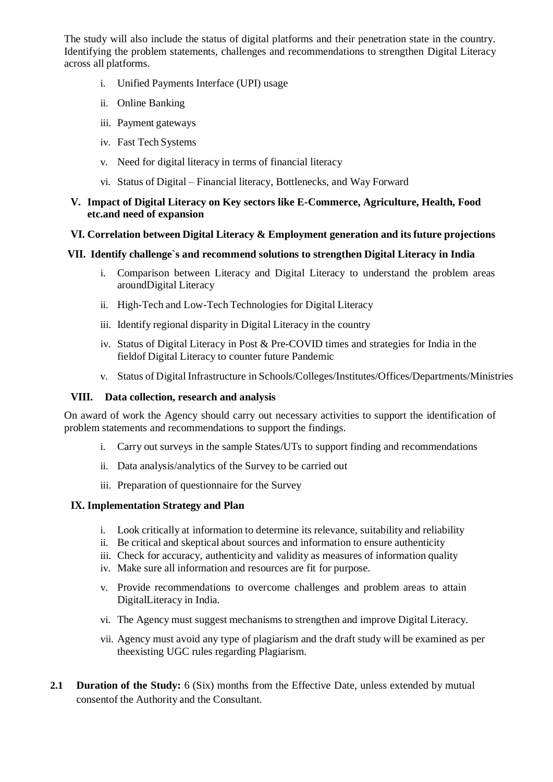The study will also include the status of digital platforms and their penetration state in the country. Identifying the problem statements, challenges and recommendations to strengthen Digital Literacy across all platforms.

- i. Unified Payments Interface (UPI) usage
- ii. Online Banking
- iii. Payment gateways
- iv. Fast Tech Systems
- v. Need for digital literacy in terms of financial literacy
- vi. Status of Digital Financial literacy, Bottlenecks, and Way Forward

#### **V. Impact of Digital Literacy on Key sectors like E-Commerce, Agriculture, Health, Food etc.and need of expansion**

## **VI. Correlation between Digital Literacy & Employment generation and its future projections**

# **VII. Identify challenge`s and recommend solutions to strengthen Digital Literacy in India**

- i. Comparison between Literacy and Digital Literacy to understand the problem areas aroundDigital Literacy
- ii. High-Tech and Low-Tech Technologies for Digital Literacy
- iii. Identify regional disparity in Digital Literacy in the country
- iv. Status of Digital Literacy in Post & Pre-COVID times and strategies for India in the fieldof Digital Literacy to counter future Pandemic
- v. Status of Digital Infrastructure in Schools/Colleges/Institutes/Offices/Departments/Ministries

## **VIII. Data collection, research and analysis**

On award of work the Agency should carry out necessary activities to support the identification of problem statements and recommendations to support the findings.

- i. Carry out surveys in the sample States/UTs to support finding and recommendations
- ii. Data analysis/analytics of the Survey to be carried out
- iii. Preparation of questionnaire for the Survey

## **IX. Implementation Strategy and Plan**

- i. Look critically at information to determine its relevance, suitability and reliability
- ii. Be critical and skeptical about sources and information to ensure authenticity
- iii. Check for accuracy, authenticity and validity as measures of information quality
- iv. Make sure all information and resources are fit for purpose.
- v. Provide recommendations to overcome challenges and problem areas to attain DigitalLiteracy in India.
- vi. The Agency must suggest mechanisms to strengthen and improve Digital Literacy.
- vii. Agency must avoid any type of plagiarism and the draft study will be examined as per theexisting UGC rules regarding Plagiarism.
- **2.1 Duration of the Study:** 6 (Six) months from the Effective Date, unless extended by mutual consentof the Authority and the Consultant.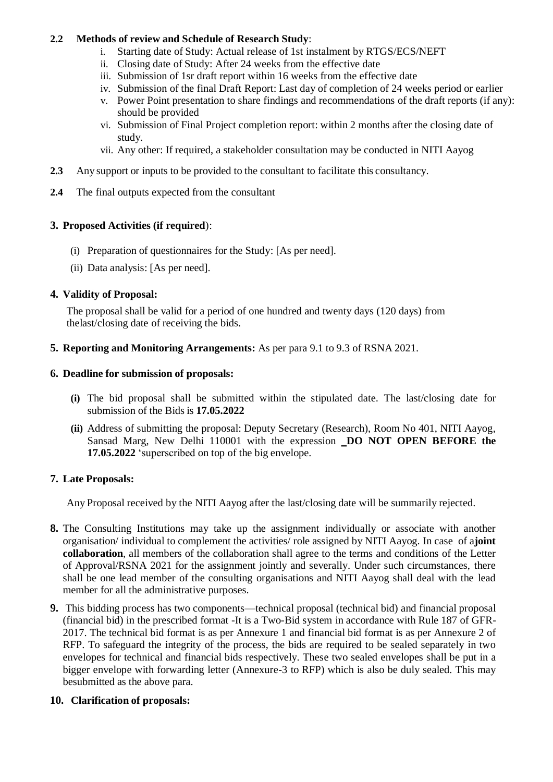# **2.2 Methods of review and Schedule of Research Study**:

- i. Starting date of Study: Actual release of 1st instalment by RTGS/ECS/NEFT
- ii. Closing date of Study: After 24 weeks from the effective date
- iii. Submission of 1sr draft report within 16 weeks from the effective date
- iv. Submission of the final Draft Report: Last day of completion of 24 weeks period or earlier
- v. Power Point presentation to share findings and recommendations of the draft reports (if any): should be provided
- vi. Submission of Final Project completion report: within 2 months after the closing date of study.
- vii. Any other: If required, a stakeholder consultation may be conducted in NITI Aayog
- **2.3** Any support or inputs to be provided to the consultant to facilitate this consultancy.
- **2.4** The final outputs expected from the consultant

# **3. Proposed Activities (if required**):

- (i) Preparation of questionnaires for the Study: [As per need].
- (ii) Data analysis: [As per need].

# **4. Validity of Proposal:**

The proposal shall be valid for a period of one hundred and twenty days (120 days) from thelast/closing date of receiving the bids.

**5. Reporting and Monitoring Arrangements:** As per para 9.1 to 9.3 of RSNA 2021.

# **6. Deadline for submission of proposals:**

- **(i)** The bid proposal shall be submitted within the stipulated date. The last/closing date for submission of the Bids is **17.05.2022**
- **(ii)** Address of submitting the proposal: Deputy Secretary (Research), Room No 401, NITI Aayog, Sansad Marg, New Delhi 110001 with the expression ‗**DO NOT OPEN BEFORE the 17.05.2022** 'superscribed on top of the big envelope.

# **7. Late Proposals:**

Any Proposal received by the NITI Aayog after the last/closing date will be summarily rejected.

- **8.** The Consulting Institutions may take up the assignment individually or associate with another organisation/ individual to complement the activities/ role assigned by NITI Aayog. In case of a**joint collaboration**, all members of the collaboration shall agree to the terms and conditions of the Letter of Approval/RSNA 2021 for the assignment jointly and severally. Under such circumstances, there shall be one lead member of the consulting organisations and NITI Aayog shall deal with the lead member for all the administrative purposes.
- **9.** This bidding process has two components—technical proposal (technical bid) and financial proposal (financial bid) in the prescribed format -It is a Two-Bid system in accordance with Rule 187 of GFR-2017. The technical bid format is as per Annexure 1 and financial bid format is as per Annexure 2 of RFP. To safeguard the integrity of the process, the bids are required to be sealed separately in two envelopes for technical and financial bids respectively. These two sealed envelopes shall be put in a bigger envelope with forwarding letter (Annexure-3 to RFP) which is also be duly sealed. This may besubmitted as the above para.

## **10. Clarification of proposals:**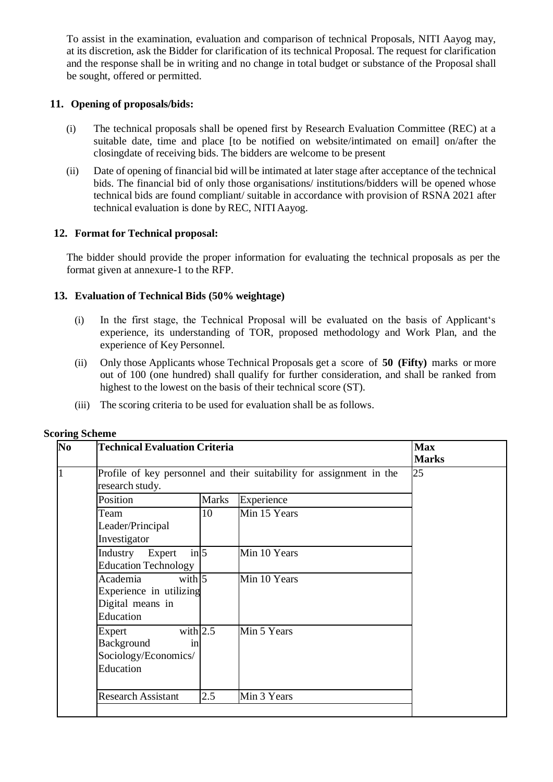To assist in the examination, evaluation and comparison of technical Proposals, NITI Aayog may, at its discretion, ask the Bidder for clarification of its technical Proposal. The request for clarification and the response shall be in writing and no change in total budget or substance of the Proposal shall be sought, offered or permitted.

## **11. Opening of proposals/bids:**

- (i) The technical proposals shall be opened first by Research Evaluation Committee (REC) at a suitable date, time and place [to be notified on website/intimated on email] on/after the closingdate of receiving bids. The bidders are welcome to be present
- (ii) Date of opening of financial bid will be intimated at later stage after acceptance of the technical bids. The financial bid of only those organisations/ institutions/bidders will be opened whose technical bids are found compliant/ suitable in accordance with provision of RSNA 2021 after technical evaluation is done by REC, NITI Aayog.

# **12. Format for Technical proposal:**

The bidder should provide the proper information for evaluating the technical proposals as per the format given at annexure-1 to the RFP.

# **13. Evaluation of Technical Bids (50% weightage)**

- (i) In the first stage, the Technical Proposal will be evaluated on the basis of Applicant's experience, its understanding of TOR, proposed methodology and Work Plan, and the experience of Key Personnel.
- (ii) Only those Applicants whose Technical Proposals get a score of **50 (Fifty)** marks or more out of 100 (one hundred) shall qualify for further consideration, and shall be ranked from highest to the lowest on the basis of their technical score (ST).
- (iii) The scoring criteria to be used for evaluation shall be as follows.

| N <sub>0</sub> | <b>Technical Evaluation Criteria</b>                                                    | <b>Max</b><br><b>Marks</b> |              |  |
|----------------|-----------------------------------------------------------------------------------------|----------------------------|--------------|--|
|                | Profile of key personnel and their suitability for assignment in the<br>research study. | 25                         |              |  |
|                | Position                                                                                | <b>Marks</b>               | Experience   |  |
|                | Team<br>Leader/Principal<br>Investigator                                                | 10                         | Min 15 Years |  |
|                | $in \, 5$<br>Industry<br>Expert<br><b>Education Technology</b>                          |                            | Min 10 Years |  |
|                | with $5$<br>Academia<br>Experience in utilizing<br>Digital means in<br>Education        |                            | Min 10 Years |  |
|                | with $2.5$<br>Expert<br>Background<br>in<br>Sociology/Economics/<br>Education           |                            | Min 5 Years  |  |
|                | <b>Research Assistant</b>                                                               | 2.5                        | Min 3 Years  |  |

#### **Scoring Scheme**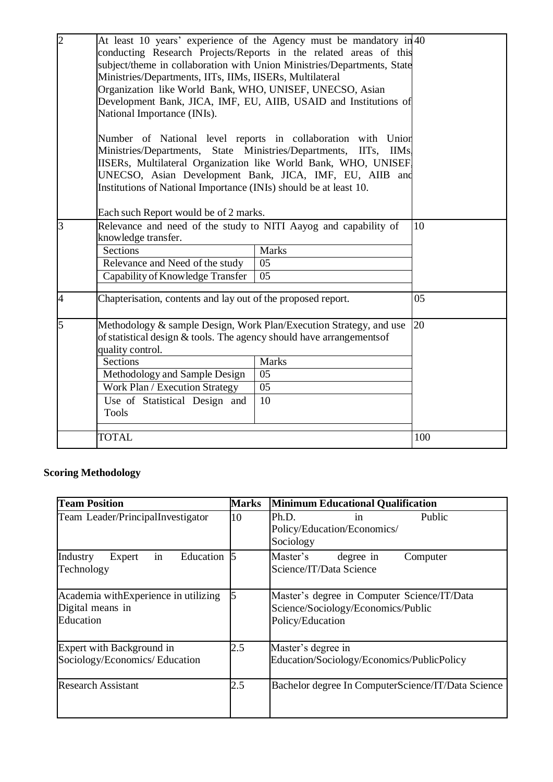| $\overline{2}$ | At least 10 years' experience of the Agency must be mandatory in 40<br>conducting Research Projects/Reports in the related areas of this<br>subject/theme in collaboration with Union Ministries/Departments, State<br>Ministries/Departments, IITs, IIMs, IISERs, Multilateral<br>Organization like World Bank, WHO, UNISEF, UNECSO, Asian<br>Development Bank, JICA, IMF, EU, AIIB, USAID and Institutions of<br>National Importance (INIs).<br>Number of National level reports in collaboration with Union<br>Ministries/Departments, State Ministries/Departments, IITs, IIMs,<br>IISERs, Multilateral Organization like World Bank, WHO, UNISEF,<br>UNECSO, Asian Development Bank, JICA, IMF, EU, AIIB and<br>Institutions of National Importance (INIs) should be at least 10.<br>Each such Report would be of 2 marks. |                                       |     |
|----------------|---------------------------------------------------------------------------------------------------------------------------------------------------------------------------------------------------------------------------------------------------------------------------------------------------------------------------------------------------------------------------------------------------------------------------------------------------------------------------------------------------------------------------------------------------------------------------------------------------------------------------------------------------------------------------------------------------------------------------------------------------------------------------------------------------------------------------------|---------------------------------------|-----|
| 3              | Relevance and need of the study to NITI Aayog and capability of<br>knowledge transfer.<br>Sections<br>Relevance and Need of the study<br>Capability of Knowledge Transfer                                                                                                                                                                                                                                                                                                                                                                                                                                                                                                                                                                                                                                                       | <b>Marks</b><br>05<br>$\overline{05}$ | 10  |
| $\overline{4}$ | Chapterisation, contents and lay out of the proposed report.                                                                                                                                                                                                                                                                                                                                                                                                                                                                                                                                                                                                                                                                                                                                                                    |                                       | 05  |
| 5              | Methodology & sample Design, Work Plan/Execution Strategy, and use<br>of statistical design $&$ tools. The agency should have arrangements of<br>quality control.<br><b>Sections</b><br><b>Marks</b><br>Methodology and Sample Design<br>05<br>Work Plan / Execution Strategy<br>05<br>Use of Statistical Design and<br>10<br><b>Tools</b>                                                                                                                                                                                                                                                                                                                                                                                                                                                                                      |                                       | 20  |
|                | <b>TOTAL</b>                                                                                                                                                                                                                                                                                                                                                                                                                                                                                                                                                                                                                                                                                                                                                                                                                    |                                       | 100 |

# **Scoring Methodology**

| <b>Team Position</b>                                                  | <b>Marks</b>   | <b>Minimum Educational Qualification</b>                                                              |  |  |  |
|-----------------------------------------------------------------------|----------------|-------------------------------------------------------------------------------------------------------|--|--|--|
| Team Leader/PrincipalInvestigator                                     | 10             | Public<br>Ph.D.<br>1n<br>Policy/Education/Economics/<br>Sociology                                     |  |  |  |
| in<br>Education<br>Industry<br>Expert<br>Technology                   | $\overline{5}$ | Master's<br>degree in<br>Computer<br>Science/IT/Data Science                                          |  |  |  |
| Academia withExperience in utilizing<br>Digital means in<br>Education |                | Master's degree in Computer Science/IT/Data<br>Science/Sociology/Economics/Public<br>Policy/Education |  |  |  |
| Expert with Background in<br>Sociology/Economics/ Education           | 2.5            | Master's degree in<br>Education/Sociology/Economics/PublicPolicy                                      |  |  |  |
| <b>Research Assistant</b>                                             | 2.5            | Bachelor degree In ComputerScience/IT/Data Science                                                    |  |  |  |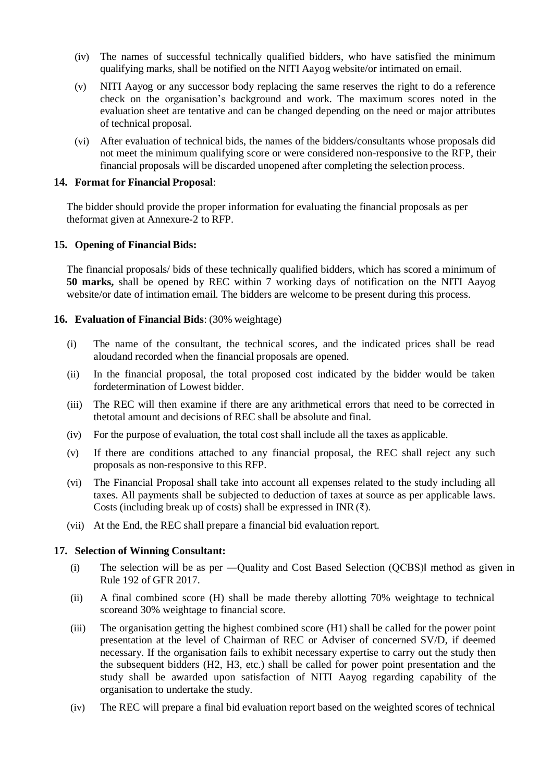- (iv) The names of successful technically qualified bidders, who have satisfied the minimum qualifying marks, shall be notified on the NITI Aayog website/or intimated on email.
- (v) NITI Aayog or any successor body replacing the same reserves the right to do a reference check on the organisation's background and work. The maximum scores noted in the evaluation sheet are tentative and can be changed depending on the need or major attributes of technical proposal.
- (vi) After evaluation of technical bids, the names of the bidders/consultants whose proposals did not meet the minimum qualifying score or were considered non-responsive to the RFP, their financial proposals will be discarded unopened after completing the selection process.

#### **14. Format for Financial Proposal**:

The bidder should provide the proper information for evaluating the financial proposals as per theformat given at Annexure-2 to RFP.

#### **15. Opening of Financial Bids:**

The financial proposals/ bids of these technically qualified bidders, which has scored a minimum of **50 marks,** shall be opened by REC within 7 working days of notification on the NITI Aayog website/or date of intimation email. The bidders are welcome to be present during this process.

#### **16. Evaluation of Financial Bids**: (30% weightage)

- (i) The name of the consultant, the technical scores, and the indicated prices shall be read aloudand recorded when the financial proposals are opened.
- (ii) In the financial proposal, the total proposed cost indicated by the bidder would be taken fordetermination of Lowest bidder.
- (iii) The REC will then examine if there are any arithmetical errors that need to be corrected in thetotal amount and decisions of REC shall be absolute and final.
- (iv) For the purpose of evaluation, the total cost shall include all the taxes as applicable.
- (v) If there are conditions attached to any financial proposal, the REC shall reject any such proposals as non-responsive to this RFP.
- (vi) The Financial Proposal shall take into account all expenses related to the study including all taxes. All payments shall be subjected to deduction of taxes at source as per applicable laws. Costs (including break up of costs) shall be expressed in INR( $\bar{\zeta}$ ).
- (vii) At the End, the REC shall prepare a financial bid evaluation report.

## **17. Selection of Winning Consultant:**

- (i) The selection will be as per ―Quality and Cost Based Selection (QCBS)‖ method as given in Rule 192 of GFR 2017.
- (ii) A final combined score (H) shall be made thereby allotting 70% weightage to technical scoreand 30% weightage to financial score.
- (iii) The organisation getting the highest combined score (H1) shall be called for the power point presentation at the level of Chairman of REC or Adviser of concerned SV/D, if deemed necessary. If the organisation fails to exhibit necessary expertise to carry out the study then the subsequent bidders (H2, H3, etc.) shall be called for power point presentation and the study shall be awarded upon satisfaction of NITI Aayog regarding capability of the organisation to undertake the study.
- (iv) The REC will prepare a final bid evaluation report based on the weighted scores of technical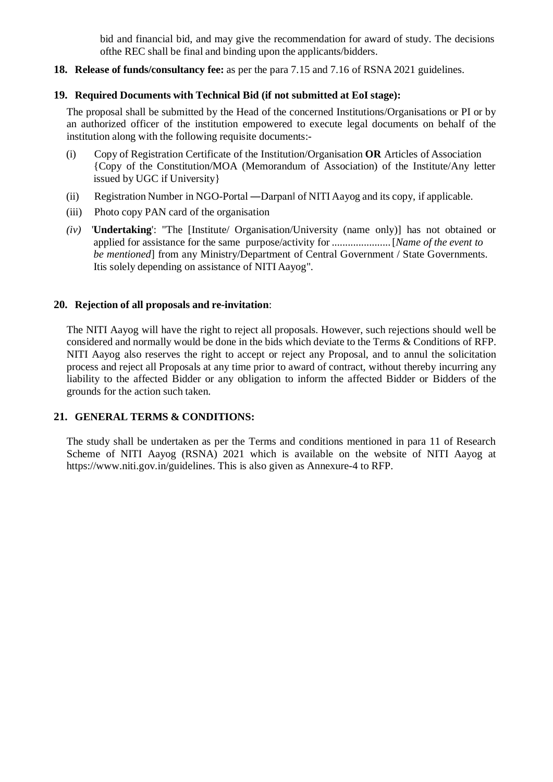bid and financial bid, and may give the recommendation for award of study. The decisions ofthe REC shall be final and binding upon the applicants/bidders.

**18. Release of funds/consultancy fee:** as per the para 7.15 and 7.16 of RSNA 2021 guidelines.

## **19. Required Documents with Technical Bid (if not submitted at EoI stage):**

The proposal shall be submitted by the Head of the concerned Institutions/Organisations or PI or by an authorized officer of the institution empowered to execute legal documents on behalf of the institution along with the following requisite documents:-

- (i) Copy of Registration Certificate of the Institution/Organisation **OR** Articles of Association {Copy of the Constitution/MOA (Memorandum of Association) of the Institute/Any letter issued by UGC if University}
- (ii) Registration Number in NGO-Portal ―Darpan‖ of NITI Aayog and its copy, if applicable.
- (iii) Photo copy PAN card of the organisation
- *(iv)* '**Undertaking**': "The [Institute/ Organisation/University (name only)] has not obtained or applied for assistance for the same purpose/activity for ......................[*Name of the event to be mentioned*] from any Ministry/Department of Central Government / State Governments. Itis solely depending on assistance of NITI Aayog".

#### **20. Rejection of all proposals and re-invitation**:

The NITI Aayog will have the right to reject all proposals. However, such rejections should well be considered and normally would be done in the bids which deviate to the Terms & Conditions of RFP. NITI Aayog also reserves the right to accept or reject any Proposal, and to annul the solicitation process and reject all Proposals at any time prior to award of contract, without thereby incurring any liability to the affected Bidder or any obligation to inform the affected Bidder or Bidders of the grounds for the action such taken.

## **21. GENERAL TERMS & CONDITIONS:**

The study shall be undertaken as per the Terms and conditions mentioned in para 11 of Research Scheme of NITI Aayog (RSNA) 2021 which is available on the website of NITI Aayog at https:/[/www.niti.gov.in/guidelines.](http://www.niti.gov.in/guidelines) This is also given as Annexure-4 to RFP.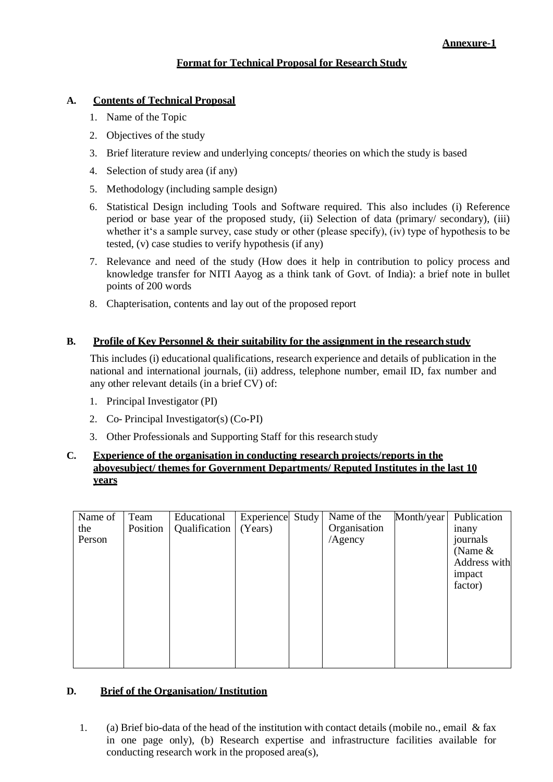# **Format for Technical Proposal for Research Study**

## **A. Contents of Technical Proposal**

- 1. Name of the Topic
- 2. Objectives of the study
- 3. Brief literature review and underlying concepts/ theories on which the study is based
- 4. Selection of study area (if any)
- 5. Methodology (including sample design)
- 6. Statistical Design including Tools and Software required. This also includes (i) Reference period or base year of the proposed study, (ii) Selection of data (primary/ secondary), (iii) whether it's a sample survey, case study or other (please specify), (iv) type of hypothesis to be tested, (v) case studies to verify hypothesis (if any)
- 7. Relevance and need of the study (How does it help in contribution to policy process and knowledge transfer for NITI Aayog as a think tank of Govt. of India): a brief note in bullet points of 200 words
- 8. Chapterisation, contents and lay out of the proposed report

## **B. Profile of Key Personnel & their suitability for the assignment in the research study**

This includes (i) educational qualifications, research experience and details of publication in the national and international journals, (ii) address, telephone number, email ID, fax number and any other relevant details (in a brief CV) of:

- 1. Principal Investigator (PI)
- 2. Co- Principal Investigator(s) (Co-PI)
- 3. Other Professionals and Supporting Staff for this research study

## **C. Experience of the organisation in conducting research projects/reports in the abovesubject/ themes for Government Departments/ Reputed Institutes in the last 10 years**

| Name of | Team     | Educational   | Experience | Study | Name of the  | Month/year | Publication  |
|---------|----------|---------------|------------|-------|--------------|------------|--------------|
| the     | Position | Qualification | (Years)    |       | Organisation |            | <i>inany</i> |
| Person  |          |               |            |       | /Agency      |            | journals     |
|         |          |               |            |       |              |            | (Name $&$    |
|         |          |               |            |       |              |            | Address with |
|         |          |               |            |       |              |            | impact       |
|         |          |               |            |       |              |            | factor)      |
|         |          |               |            |       |              |            |              |
|         |          |               |            |       |              |            |              |
|         |          |               |            |       |              |            |              |
|         |          |               |            |       |              |            |              |
|         |          |               |            |       |              |            |              |
|         |          |               |            |       |              |            |              |
|         |          |               |            |       |              |            |              |

## **D. Brief of the Organisation/ Institution**

1. (a) Brief bio-data of the head of the institution with contact details (mobile no., email & fax in one page only), (b) Research expertise and infrastructure facilities available for conducting research work in the proposed area(s),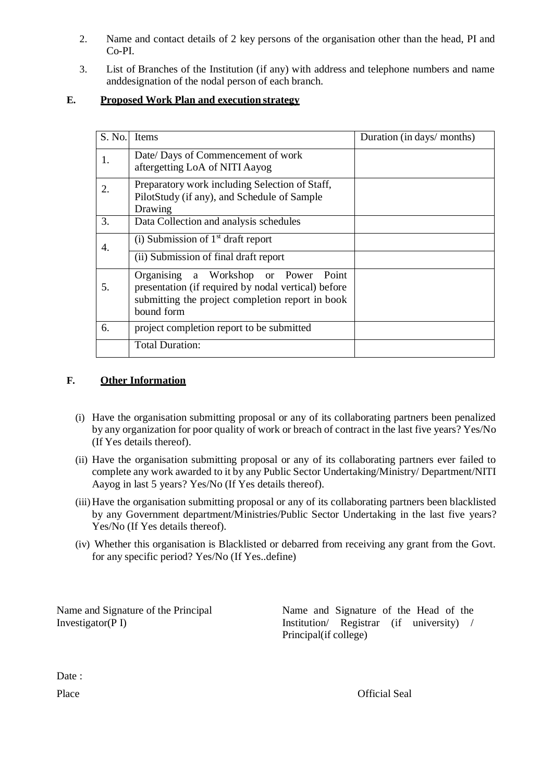- 2. Name and contact details of 2 key persons of the organisation other than the head, PI and Co-PI.
- 3. List of Branches of the Institution (if any) with address and telephone numbers and name anddesignation of the nodal person of each branch.

# **E. Proposed Work Plan and execution strategy**

| S. No. | <b>Items</b>                                                                                                                                                     | Duration (in days/ months) |
|--------|------------------------------------------------------------------------------------------------------------------------------------------------------------------|----------------------------|
| 1.     | Date/ Days of Commencement of work<br>aftergetting LoA of NITI Aayog                                                                                             |                            |
| 2.     | Preparatory work including Selection of Staff,<br>PilotStudy (if any), and Schedule of Sample<br>Drawing                                                         |                            |
| 3.     | Data Collection and analysis schedules                                                                                                                           |                            |
| 4.     | (i) Submission of $1st$ draft report                                                                                                                             |                            |
|        | $(i)$ Submission of final draft report                                                                                                                           |                            |
| 5.     | Organising a Workshop or Power<br>Point<br>presentation (if required by nodal vertical) before<br>submitting the project completion report in book<br>bound form |                            |
| 6.     | project completion report to be submitted                                                                                                                        |                            |
|        | <b>Total Duration:</b>                                                                                                                                           |                            |

# **F. Other Information**

- (i) Have the organisation submitting proposal or any of its collaborating partners been penalized by any organization for poor quality of work or breach of contract in the last five years? Yes/No (If Yes details thereof).
- (ii) Have the organisation submitting proposal or any of its collaborating partners ever failed to complete any work awarded to it by any Public Sector Undertaking/Ministry/ Department/NITI Aayog in last 5 years? Yes/No (If Yes details thereof).
- (iii)Have the organisation submitting proposal or any of its collaborating partners been blacklisted by any Government department/Ministries/Public Sector Undertaking in the last five years? Yes/No (If Yes details thereof).
- (iv) Whether this organisation is Blacklisted or debarred from receiving any grant from the Govt. for any specific period? Yes/No (If Yes..define)

Name and Signature of the Principal Investigator(P I)

Name and Signature of the Head of the Institution/ Registrar (if university) / Principal(if college)

Date: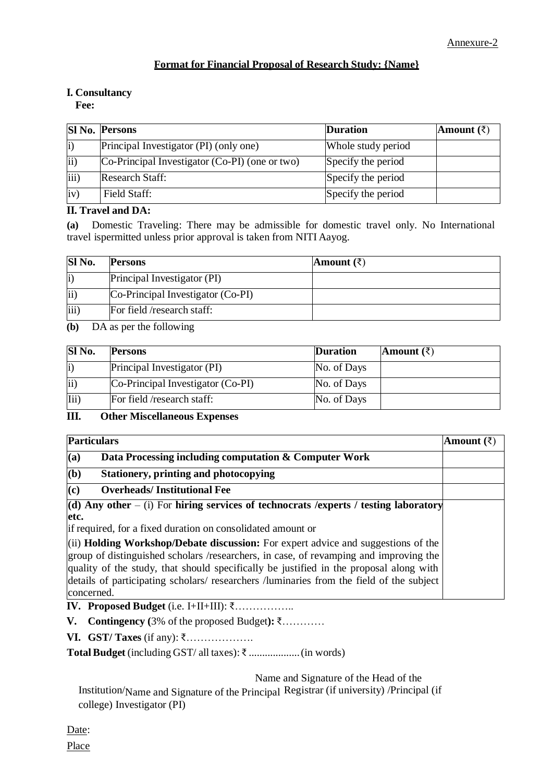# **Format for Financial Proposal of Research Study: {Name}**

# **I. Consultancy**

**Fee:**

|                   | <b>SI No. Persons</b>                          | <b>Duration</b>    | Amount $(\bar{z})$ |
|-------------------|------------------------------------------------|--------------------|--------------------|
| $\vert i \rangle$ | Principal Investigator (PI) (only one)         | Whole study period |                    |
| ii)               | Co-Principal Investigator (Co-PI) (one or two) | Specify the period |                    |
| iii)              | <b>Research Staff:</b>                         | Specify the period |                    |
| iv)               | Field Staff:                                   | Specify the period |                    |

# **II. Travel and DA:**

**(a)** Domestic Traveling: There may be admissible for domestic travel only. No International travel ispermitted unless prior approval is taken from NITI Aayog.

| Sl No.           | <b>Persons</b>                    | Amount $(\bar{\zeta})$ |
|------------------|-----------------------------------|------------------------|
| li)              | Principal Investigator (PI)       |                        |
| ii)              | Co-Principal Investigator (Co-PI) |                        |
| $\overline{iii}$ | For field /research staff:        |                        |

**(b)** DA as per the following

| Sl No.            | <b>Persons</b>                    | <b>Duration</b> | Amount $(\bar{z})$ |
|-------------------|-----------------------------------|-----------------|--------------------|
| $\vert i \rangle$ | Principal Investigator (PI)       | No. of Days     |                    |
| ii)               | Co-Principal Investigator (Co-PI) | No. of Days     |                    |
| $\overline{Hi}$   | For field /research staff:        | No. of Days     |                    |

**III. Other Miscellaneous Expenses**

| <b>Particulars</b>                                                                     | Amount (₹) |
|----------------------------------------------------------------------------------------|------------|
| (a)<br>Data Processing including computation & Computer Work                           |            |
| (b)<br><b>Stationery, printing and photocopying</b>                                    |            |
| (c)<br><b>Overheads/Institutional Fee</b>                                              |            |
| (d) Any other – (i) For hiring services of technocrats /experts / testing laboratory   |            |
| letc.                                                                                  |            |
| if required, for a fixed duration on consolidated amount or                            |            |
| $(iii)$ Holding Workshop/Debate discussion: For expert advice and suggestions of the   |            |
| group of distinguished scholars /researchers, in case, of revamping and improving the  |            |
| quality of the study, that should specifically be justified in the proposal along with |            |
| details of participating scholars/researchers/luminaries from the field of the subject |            |
| concerned.                                                                             |            |

**IV. Proposed Budget** (i.e. I+II+III): ₹……………..

**V. Contingency (**3% of the proposed Budget**):** ₹…………

**VI. GST/ Taxes** (if any): ₹……………….

**TotalBudget** (including GST/ all taxes): ₹ ...................(in words)

Name and Signature of the Head of the

Institution/Name and Signature of the Principal Registrar (if university) /Principal (if college) Investigator (PI)

Date: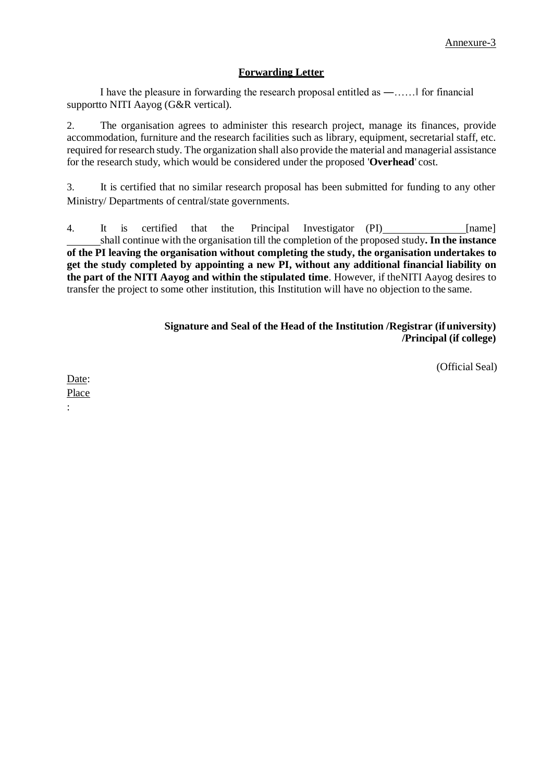#### **Forwarding Letter**

I have the pleasure in forwarding the research proposal entitled as ―……‖ for financial supportto NITI Aayog (G&R vertical).

2. The organisation agrees to administer this research project, manage its finances, provide accommodation, furniture and the research facilities such as library, equipment, secretarial staff, etc. required for research study. The organization shall also provide the material and managerial assistance for the research study, which would be considered under the proposed '**Overhead**' cost.

3. It is certified that no similar research proposal has been submitted for funding to any other Ministry/ Departments of central/state governments.

4. It is certified that the Principal Investigator (PI) [name] shall continue with the organisation till the completion of the proposed study**. In the instance of the PI leaving the organisation without completing the study, the organisation undertakes to get the study completed by appointing a new PI, without any additional financial liability on the part of the NITI Aayog and within the stipulated time**. However, if theNITI Aayog desires to transfer the project to some other institution, this Institution will have no objection to the same.

#### **Signature and Seal of the Head of the Institution /Registrar (if university) /Principal (if college)**

(Official Seal)

Date: Place

: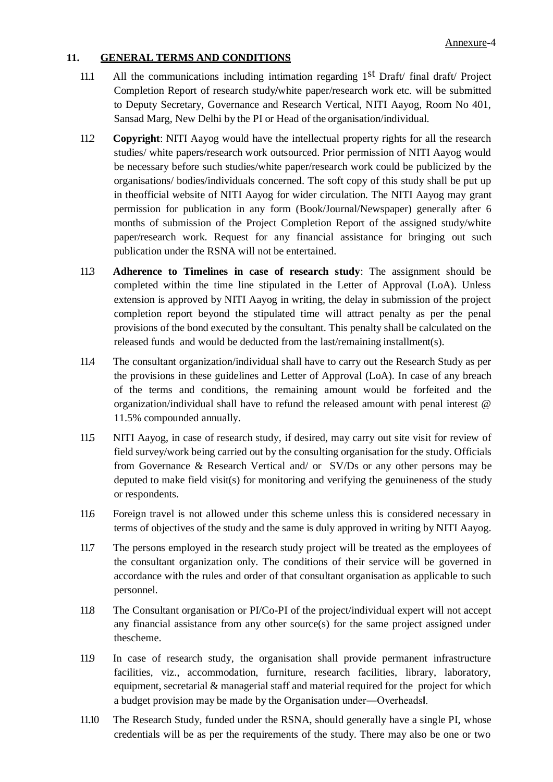## **11. GENERAL TERMS AND CONDITIONS**

- 11.1 All the communications including intimation regarding 1st Draft/ final draft/ Project Completion Report of research study**/**white paper/research work etc. will be submitted to Deputy Secretary, Governance and Research Vertical, NITI Aayog, Room No 401, Sansad Marg, New Delhi by the PI or Head of the organisation/individual.
- 11.2 **Copyright**: NITI Aayog would have the intellectual property rights for all the research studies/ white papers/research work outsourced. Prior permission of NITI Aayog would be necessary before such studies/white paper/research work could be publicized by the organisations/ bodies/individuals concerned. The soft copy of this study shall be put up in theofficial website of NITI Aayog for wider circulation. The NITI Aayog may grant permission for publication in any form (Book/Journal/Newspaper) generally after 6 months of submission of the Project Completion Report of the assigned study/white paper/research work. Request for any financial assistance for bringing out such publication under the RSNA will not be entertained.
- 11.3 **Adherence to Timelines in case of research study**: The assignment should be completed within the time line stipulated in the Letter of Approval (LoA). Unless extension is approved by NITI Aayog in writing, the delay in submission of the project completion report beyond the stipulated time will attract penalty as per the penal provisions of the bond executed by the consultant. This penalty shall be calculated on the released funds and would be deducted from the last/remaining installment(s).
- 11.4 The consultant organization/individual shall have to carry out the Research Study as per the provisions in these guidelines and Letter of Approval (LoA). In case of any breach of the terms and conditions, the remaining amount would be forfeited and the organization/individual shall have to refund the released amount with penal interest @ 11.5% compounded annually.
- 11.5 NITI Aayog, in case of research study, if desired, may carry out site visit for review of field survey/work being carried out by the consulting organisation for the study. Officials from Governance & Research Vertical and/ or SV/Ds or any other persons may be deputed to make field visit(s) for monitoring and verifying the genuineness of the study or respondents.
- 11.6 Foreign travel is not allowed under this scheme unless this is considered necessary in terms of objectives of the study and the same is duly approved in writing by NITI Aayog.
- 11.7 The persons employed in the research study project will be treated as the employees of the consultant organization only. The conditions of their service will be governed in accordance with the rules and order of that consultant organisation as applicable to such personnel.
- 11.8 The Consultant organisation or PI/Co-PI of the project/individual expert will not accept any financial assistance from any other source(s) for the same project assigned under thescheme.
- 11.9 In case of research study, the organisation shall provide permanent infrastructure facilities, viz., accommodation, furniture, research facilities, library, laboratory, equipment, secretarial & managerial staff and material required for the project for which a budget provision may be made by the Organisation under―Overheads‖.
- 11.10 The Research Study, funded under the RSNA, should generally have a single PI, whose credentials will be as per the requirements of the study. There may also be one or two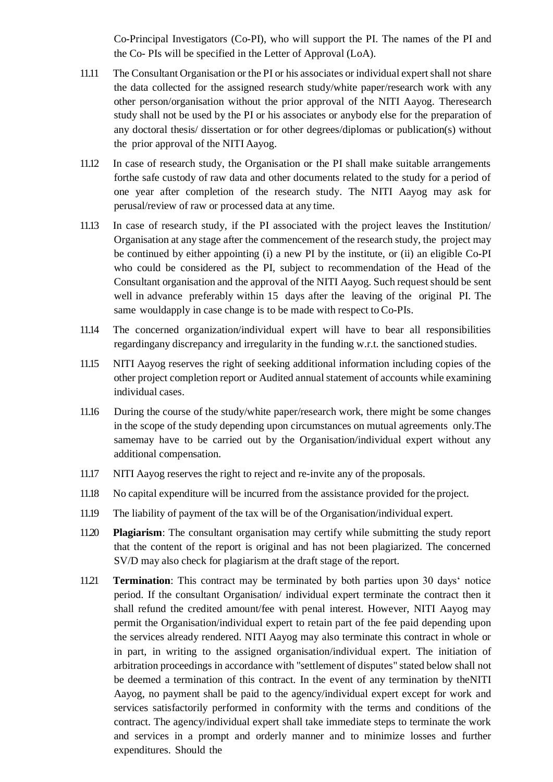Co-Principal Investigators (Co-PI), who will support the PI. The names of the PI and the Co- PIs will be specified in the Letter of Approval (LoA).

- 11.11 The Consultant Organisation or the PI or his associates or individual expert shall not share the data collected for the assigned research study/white paper/research work with any other person/organisation without the prior approval of the NITI Aayog. Theresearch study shall not be used by the PI or his associates or anybody else for the preparation of any doctoral thesis/ dissertation or for other degrees/diplomas or publication(s) without the prior approval of the NITI Aayog.
- 11.12 In case of research study, the Organisation or the PI shall make suitable arrangements forthe safe custody of raw data and other documents related to the study for a period of one year after completion of the research study. The NITI Aayog may ask for perusal/review of raw or processed data at any time.
- 11.13 In case of research study, if the PI associated with the project leaves the Institution/ Organisation at any stage after the commencement of the research study, the project may be continued by either appointing (i) a new PI by the institute, or (ii) an eligible Co-PI who could be considered as the PI, subject to recommendation of the Head of the Consultant organisation and the approval of the NITI Aayog. Such request should be sent well in advance preferably within 15 days after the leaving of the original PI. The same wouldapply in case change is to be made with respect to Co-PIs.
- 11.14 The concerned organization/individual expert will have to bear all responsibilities regardingany discrepancy and irregularity in the funding w.r.t. the sanctioned studies.
- 11.15 NITI Aayog reserves the right of seeking additional information including copies of the other project completion report or Audited annualstatement of accounts while examining individual cases.
- 11.16 During the course of the study/white paper/research work, there might be some changes in the scope of the study depending upon circumstances on mutual agreements only.The samemay have to be carried out by the Organisation/individual expert without any additional compensation.
- 11.17 NITI Aayog reserves the right to reject and re-invite any of the proposals.
- 11.18 No capital expenditure will be incurred from the assistance provided for the project.
- 11.19 The liability of payment of the tax will be of the Organisation/individual expert.
- 11.20 **Plagiarism**: The consultant organisation may certify while submitting the study report that the content of the report is original and has not been plagiarized. The concerned SV/D may also check for plagiarism at the draft stage of the report.
- 11.21 **Termination**: This contract may be terminated by both parties upon 30 days' notice period. If the consultant Organisation/ individual expert terminate the contract then it shall refund the credited amount/fee with penal interest. However, NITI Aayog may permit the Organisation/individual expert to retain part of the fee paid depending upon the services already rendered. NITI Aayog may also terminate this contract in whole or in part, in writing to the assigned organisation/individual expert. The initiation of arbitration proceedings in accordance with "settlement of disputes" stated below shall not be deemed a termination of this contract. In the event of any termination by theNITI Aayog, no payment shall be paid to the agency/individual expert except for work and services satisfactorily performed in conformity with the terms and conditions of the contract. The agency/individual expert shall take immediate steps to terminate the work and services in a prompt and orderly manner and to minimize losses and further expenditures. Should the